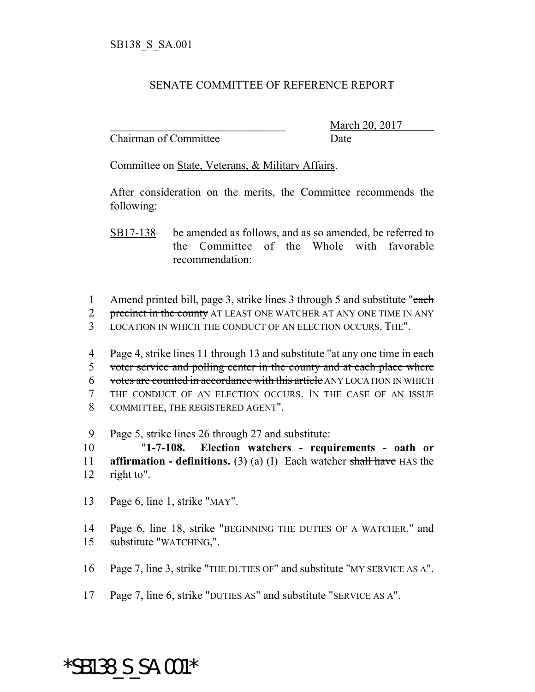## SENATE COMMITTEE OF REFERENCE REPORT

Chairman of Committee Date

March 20, 2017

Committee on State, Veterans, & Military Affairs.

After consideration on the merits, the Committee recommends the following:

SB17-138 be amended as follows, and as so amended, be referred to the Committee of the Whole with favorable recommendation:

1 Amend printed bill, page 3, strike lines 3 through 5 and substitute "each"

2 precinct in the county AT LEAST ONE WATCHER AT ANY ONE TIME IN ANY

3 LOCATION IN WHICH THE CONDUCT OF AN ELECTION OCCURS. THE".

4 Page 4, strike lines 11 through 13 and substitute "at any one time in each voter service and polling center in the county and at each place where votes are counted in accordance with this article ANY LOCATION IN WHICH THE CONDUCT OF AN ELECTION OCCURS. IN THE CASE OF AN ISSUE COMMITTEE, THE REGISTERED AGENT".

9 Page 5, strike lines 26 through 27 and substitute:

10 "**1-7-108. Election watchers - requirements - oath or** 11 **affirmation - definitions.** (3) (a) (I) Each watcher shall have HAS the 12 right to".

13 Page 6, line 1, strike "MAY".

14 Page 6, line 18, strike "BEGINNING THE DUTIES OF A WATCHER," and 15 substitute "WATCHING,".

16 Page 7, line 3, strike "THE DUTIES OF" and substitute "MY SERVICE AS A".

17 Page 7, line 6, strike "DUTIES AS" and substitute "SERVICE AS A".

## \*SB138\_S\_SA.001\*